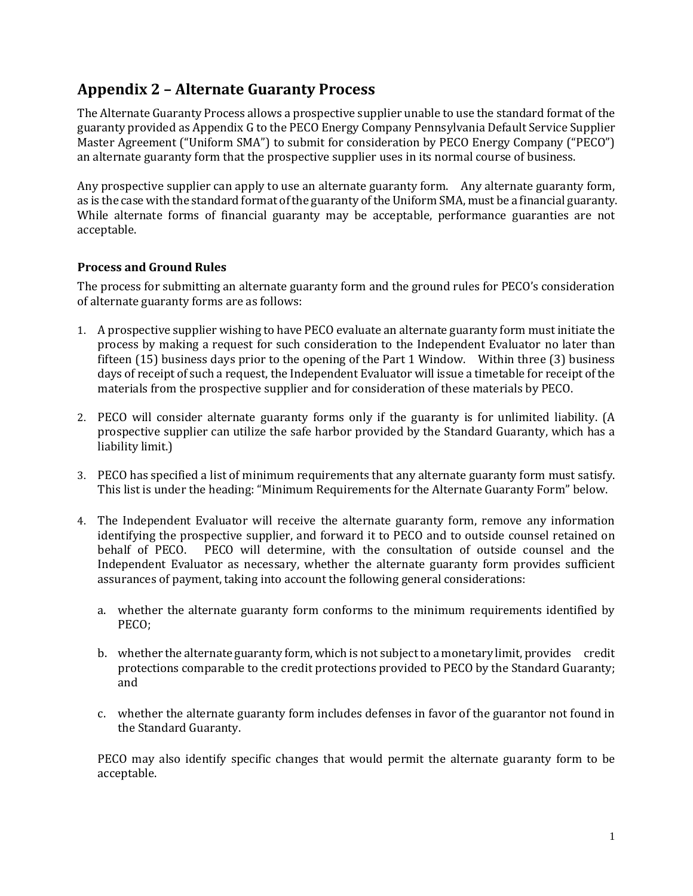## **Appendix 2 – Alternate Guaranty Process**

The Alternate Guaranty Process allows a prospective supplier unable to use the standard format of the guaranty provided as Appendix G to the PECO Energy Company Pennsylvania Default Service Supplier Master Agreement ("Uniform SMA") to submit for consideration by PECO Energy Company ("PECO") an alternate guaranty form that the prospective supplier uses in its normal course of business.

Any prospective supplier can apply to use an alternate guaranty form. Any alternate guaranty form, as is the case with the standard format of the guaranty of the Uniform SMA, must be a financial guaranty. While alternate forms of financial guaranty may be acceptable, performance guaranties are not acceptable.

## **Process and Ground Rules**

The process for submitting an alternate guaranty form and the ground rules for PECO's consideration of alternate guaranty forms are as follows:

- 1. A prospective supplier wishing to have PECO evaluate an alternate guaranty form must initiate the process by making a request for such consideration to the Independent Evaluator no later than fifteen (15) business days prior to the opening of the Part 1 Window. Within three (3) business days of receipt of such a request, the Independent Evaluator will issue a timetable for receipt of the materials from the prospective supplier and for consideration of these materials by PECO.
- 2. PECO will consider alternate guaranty forms only if the guaranty is for unlimited liability. (A prospective supplier can utilize the safe harbor provided by the Standard Guaranty, which has a liability limit.)
- 3. PECO has specified a list of minimum requirements that any alternate guaranty form must satisfy. This list is under the heading: "Minimum Requirements for the Alternate Guaranty Form" below.
- 4. The Independent Evaluator will receive the alternate guaranty form, remove any information identifying the prospective supplier, and forward it to PECO and to outside counsel retained on behalf of PECO. PECO will determine, with the consultation of outside counsel and the Independent Evaluator as necessary, whether the alternate guaranty form provides sufficient assurances of payment, taking into account the following general considerations:
	- a. whether the alternate guaranty form conforms to the minimum requirements identified by PECO;
	- b. whether the alternate guaranty form, which is not subject to a monetary limit, provides credit protections comparable to the credit protections provided to PECO by the Standard Guaranty; and
	- c. whether the alternate guaranty form includes defenses in favor of the guarantor not found in the Standard Guaranty.

PECO may also identify specific changes that would permit the alternate guaranty form to be acceptable.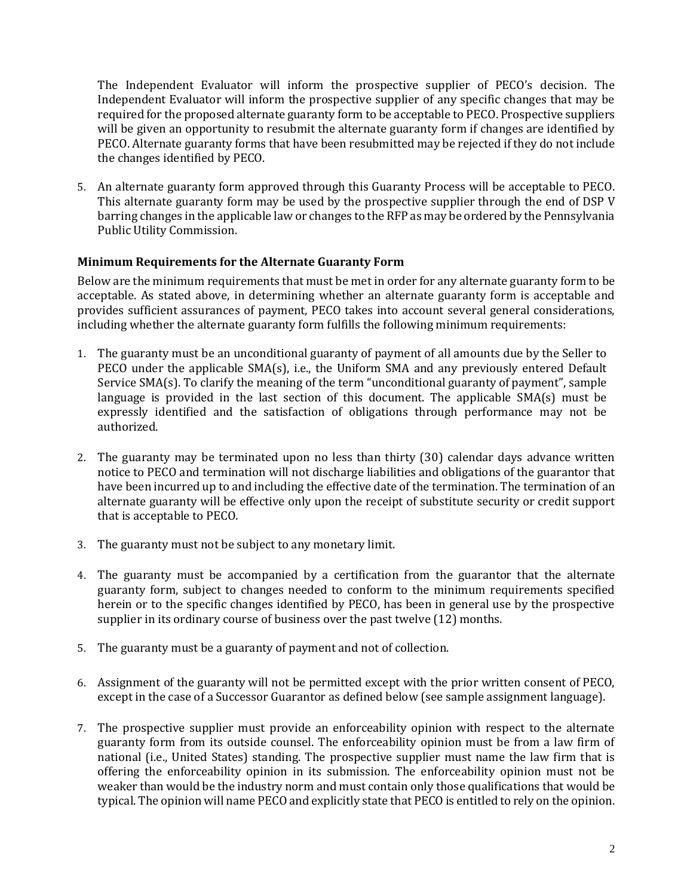The Independent Evaluator will inform the prospective supplier of PECO's decision. The Independent Evaluator will inform the prospective supplier of any specific changes that may be required for the proposed alternate guaranty form to be acceptable to PECO. Prospective suppliers will be given an opportunity to resubmit the alternate guaranty form if changes are identified by PECO. Alternate guaranty forms that have been resubmitted may be rejected if they do not include the changes identified by PECO.

5. An alternate guaranty form approved through this Guaranty Process will be acceptable to PECO. This alternate guaranty form may be used by the prospective supplier through the end of DSP V barring changes in the applicable law or changes to the RFP as may be ordered by the Pennsylvania Public Utility Commission.

## **Minimum Requirements for the Alternate Guaranty Form**

Below are the minimum requirements that must be met in order for any alternate guaranty form to be acceptable. As stated above, in determining whether an alternate guaranty form is acceptable and provides sufficient assurances of payment, PECO takes into account several general considerations, including whether the alternate guaranty form fulfills the following minimum requirements:

- 1. The guaranty must be an unconditional guaranty of payment of all amounts due by the Seller to PECO under the applicable  $SMA(s)$ , i.e., the Uniform  $SMA$  and any previously entered Default Service SMA(s). To clarify the meaning of the term "unconditional guaranty of payment", sample language is provided in the last section of this document. The applicable  $SMA(s)$  must be expressly identified and the satisfaction of obligations through performance may not be authorized.
- 2. The guaranty may be terminated upon no less than thirty (30) calendar days advance written notice to PECO and termination will not discharge liabilities and obligations of the guarantor that have been incurred up to and including the effective date of the termination. The termination of an alternate guaranty will be effective only upon the receipt of substitute security or credit support that is acceptable to PECO.
- 3. The guaranty must not be subject to any monetary limit.
- 4. The guaranty must be accompanied by a certification from the guarantor that the alternate guaranty form, subject to changes needed to conform to the minimum requirements specified herein or to the specific changes identified by PECO, has been in general use by the prospective supplier in its ordinary course of business over the past twelve (12) months.
- 5. The guaranty must be a guaranty of payment and not of collection.
- 6. Assignment of the guaranty will not be permitted except with the prior written consent of PECO, except in the case of a Successor Guarantor as defined below (see sample assignment language).
- 7. The prospective supplier must provide an enforceability opinion with respect to the alternate guaranty form from its outside counsel. The enforceability opinion must be from a law firm of national (i.e., United States) standing. The prospective supplier must name the law firm that is offering the enforceability opinion in its submission. The enforceability opinion must not be weaker than would be the industry norm and must contain only those qualifications that would be typical. The opinion will name PECO and explicitly state that PECO is entitled to rely on the opinion.